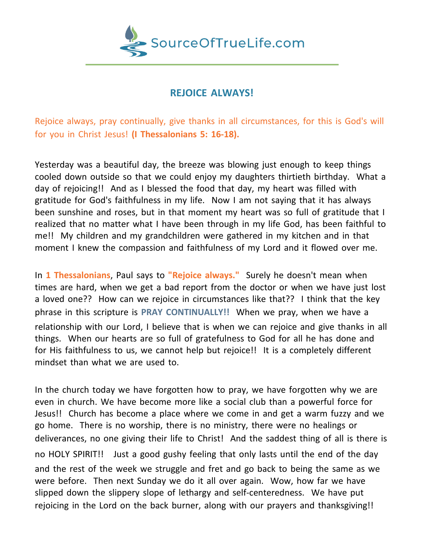

## **REJOICE ALWAYS!**

Rejoice always, pray continually, give thanks in all circumstances, for this is God's will for you in Christ Jesus! **(I Thessalonians 5: 16-18).**

Yesterday was a beautiful day, the breeze was blowing just enough to keep things cooled down outside so that we could enjoy my daughters thirtieth birthday. What a day of rejoicing!! And as I blessed the food that day, my heart was filled with gratitude for God's faithfulness in my life. Now I am not saying that it has always been sunshine and roses, but in that moment my heart was so full of gratitude that I realized that no matter what I have been through in my life God, has been faithful to me!! My children and my grandchildren were gathered in my kitchen and in that moment I knew the compassion and faithfulness of my Lord and it flowed over me.

In **1 Thessalonians**, Paul says to **"Rejoice always."** Surely he doesn't mean when times are hard, when we get a bad report from the doctor or when we have just lost a loved one?? How can we rejoice in circumstances like that?? I think that the key phrase in this scripture is **PRAY CONTINUALLY!!** When we pray, when we have a relationship with our Lord, I believe that is when we can rejoice and give thanks in all things. When our hearts are so full of gratefulness to God for all he has done and for His faithfulness to us, we cannot help but rejoice!! It is a completely different mindset than what we are used to.

In the church today we have forgotten how to pray, we have forgotten why we are even in church. We have become more like a social club than a powerful force for Jesus!! Church has become a place where we come in and get a warm fuzzy and we go home. There is no worship, there is no ministry, there were no healings or deliverances, no one giving their life to Christ! And the saddest thing of all is there is no HOLY SPIRIT!! Just a good gushy feeling that only lasts until the end of the day and the rest of the week we struggle and fret and go back to being the same as we were before. Then next Sunday we do it all over again. Wow, how far we have slipped down the slippery slope of lethargy and self-centeredness. We have put rejoicing in the Lord on the back burner, along with our prayers and thanksgiving!!